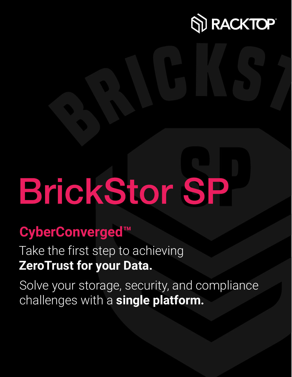

# **BrickStor SP**

## **CyberConverged™**

Take the first step to achieving **ZeroTrust for your Data.**

Solve your storage, security, and compliance challenges with a **single platform.**